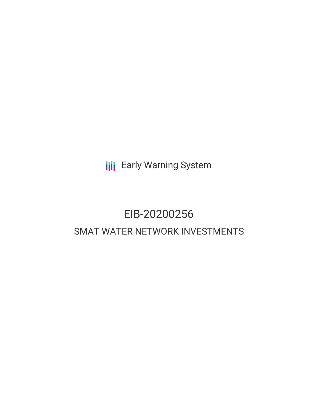**III** Early Warning System

# EIB-20200256 SMAT WATER NETWORK INVESTMENTS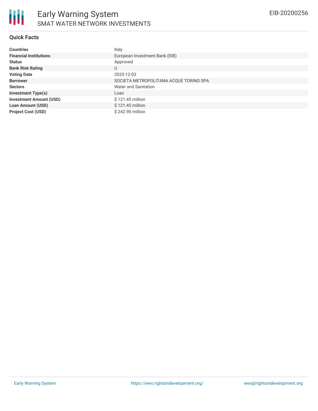

### **Quick Facts**

| <b>Countries</b>               | Italy                                  |
|--------------------------------|----------------------------------------|
| <b>Financial Institutions</b>  | European Investment Bank (EIB)         |
| <b>Status</b>                  | Approved                               |
| <b>Bank Risk Rating</b>        | U                                      |
| <b>Voting Date</b>             | 2020-12-03                             |
| <b>Borrower</b>                | SOCIETA METROPOLITANA ACQUE TORINO SPA |
| <b>Sectors</b>                 | <b>Water and Sanitation</b>            |
| <b>Investment Type(s)</b>      | Loan                                   |
| <b>Investment Amount (USD)</b> | \$121.45 million                       |
| <b>Loan Amount (USD)</b>       | \$121.45 million                       |
| <b>Project Cost (USD)</b>      | \$242.90 million                       |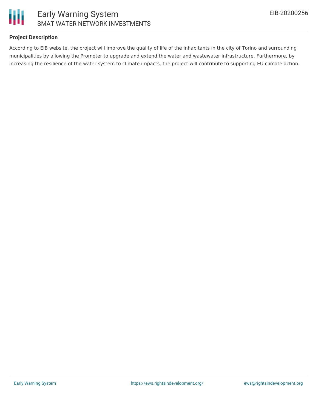

## **Project Description**

According to EIB website, the project will improve the quality of life of the inhabitants in the city of Torino and surrounding municipalities by allowing the Promoter to upgrade and extend the water and wastewater infrastructure. Furthermore, by increasing the resilience of the water system to climate impacts, the project will contribute to supporting EU climate action.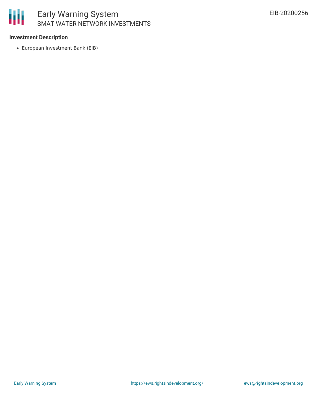

## **Investment Description**

European Investment Bank (EIB)